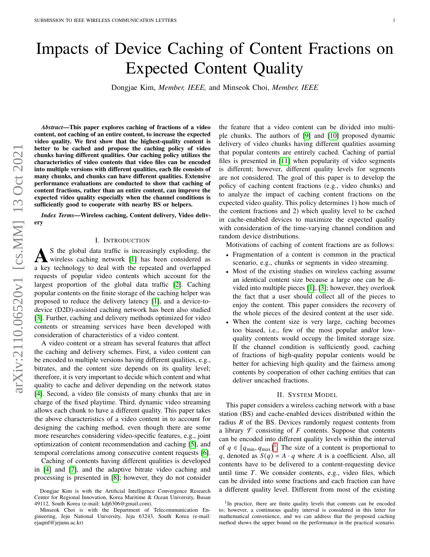# Impacts of Device Caching of Content Fractions on Expected Content Quality

Dongjae Kim, *Member, IEEE,* and Minseok Choi, *Member, IEEE*

*Abstract*—This paper explores caching of fractions of a video content, not caching of an entire content, to increase the expected video quality. We first show that the highest-quality content is better to be cached and propose the caching policy of video chunks having different qualities. Our caching policy utilizes the characteristics of video contents that video files can be encoded into multiple versions with different qualities, each file consists of many chunks, and chunks can have different qualities. Extensive performance evaluations are conducted to show that caching of content fractions, rather than an entire content, can improve the expected video quality especially when the channel conditions is sufficiently good to cooperate with nearby BS or helpers.

*Index Terms*—Wireless caching, Content delivery, Video delivery

#### I. INTRODUCTION

As the global data traffic is increasingly exploding, the wireless caching network [1] has been considered as a key technology to deal with the repeated and overlapped S the global data traffic is increasingly exploding, the wireless caching network [\[1\]](#page-4-0) has been considered as requests of popular video contents which account for the largest proportion of the global data traffic [\[2\]](#page-4-1). Caching popular contents on the finite storage of the caching helper was proposed to reduce the delivery latency [\[1\]](#page-4-0), and a device-todevice (D2D)-assisted caching network has been also studied [\[3\]](#page-4-2). Further, caching and delivery methods optimized for video contents or streaming services have been developed with consideration of characteristics of a video content.

A video content or a stream has several features that affect the caching and delivery schemes. First, a video content can be encoded to multiple versions having different qualities, e.g., bitrates, and the content size depends on its quality level; therefore, it is very important to decide which content and what quality to cache and deliver depending on the network status [\[4\]](#page-4-3). Second, a video file consists of many chunks that are in charge of the fixed playtime. Third, dynamic video streaming allows each chunk to have a different quality. This paper takes the above characteristics of a video content in to account for designing the caching method, even though there are some more researches considering video-specific features, e.g., joint optimization of content recommendation and caching [\[5\]](#page-4-4), and temporal correlations among consecutive content requests [\[6\]](#page-4-5).

Caching of contents having different qualities is developed in [\[4\]](#page-4-3) and [\[7\]](#page-4-6), and the adaptive bitrate video caching and processing is presented in [\[8\]](#page-4-7); however, they do not consider the feature that a video content can be divided into multiple chunks. The authors of [\[9\]](#page-4-8) and [\[10\]](#page-4-9) proposed dynamic delivery of video chunks having different qualities assuming that popular contents are entirely cached. Caching of partial files is presented in [\[11\]](#page-4-10) when popularity of video segments is different; however, different quality levels for segments are not considered. The goal of this paper is to develop the policy of caching content fractions (e.g., video chunks) and to analyze the impact of caching content fractions on the expected video quality. This policy determines 1) how much of the content fractions and 2) which quality level to be cached in cache-enabled devices to maximize the expected quality with consideration of the time-varying channel condition and random device distributions.

Motivations of caching of content fractions are as follows:

- Fragmentation of a content is common in the practical scenario, e.g., chunks or segments in video streaming.
- Most of the existing studies on wireless caching assume an identical content size because a large one can be divided into multiple pieces [\[1\]](#page-4-0), [\[3\]](#page-4-2); however, they overlook the fact that a user should collect all of the pieces to enjoy the content. This paper considers the recovery of the whole pieces of the desired content at the user side.
- When the content size is very large, caching becomes too biased, i.e., few of the most popular and/or lowquality contents would occupy the limited storage size. If the channel condition is sufficiently good, caching of fractions of high-quality popular contents would be better for achieving high quality and the fairness among contents by cooperation of other caching entities that can deliver uncached fractions.

## II. SYSTEM MODEL

This paper considers a wireless caching network with a base station (BS) and cache-enabled devices distributed within the radius  *of the BS. Devices randomly request contents from* a library  $\mathcal F$  consisting of  $F$  contents. Suppose that contents can be encoded into different quality levels within the interval of  $q \in [q_{\min}, q_{\max}]^1$  $q \in [q_{\min}, q_{\max}]^1$ . The size of a content is proportional to q, denoted as  $S(q) = A \cdot q$  where A is a coefficient. Also, all contents have to be delivered to a content-requesting device until time  $T$ . We consider contents, e.g., video files, which can be divided into some fractions and each fraction can have a different quality level. Different from most of the existing

Dongjae Kim is with the Artificial Intelligence Convergence Research Center for Regional Innovation, Korea Maritime & Ocean University, Busan 49112, South Korea (e-mail: kdj6306@gmail.com).

Minseok Choi is with the Department of Telecommunication Engineering, Jeju National University, Jeju 63243, South Korea (e-mail: ejaqmf@jejunu.ac.kr)

<span id="page-0-0"></span><sup>&</sup>lt;sup>1</sup>In practice, there are finite quality levels that contents can be encoded to; however, a continuous quality interval is considered in this letter for mathematical convenience, and we can address that the proposed caching method shows the upper bound on the performance in the practical scenario.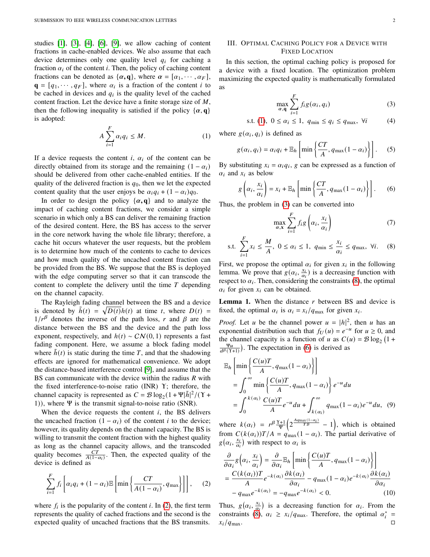studies [\[1\]](#page-4-0), [\[3\]](#page-4-2), [\[4\]](#page-4-3), [\[6\]](#page-4-5), [\[9\]](#page-4-8), we allow caching of content fractions in cache-enabled devices. We also assume that each device determines only one quality level  $q_i$  for caching a fraction  $\alpha_i$  of the content *i*. Then, the policy of caching content fractions can be denoted as  $\{\alpha, \mathbf{q}\}\text{, where } \alpha = [\alpha_1, \cdots, \alpha_F],$  $\mathbf{q} = [q_1, \dots, q_F]$ , where  $\alpha_i$  is a fraction of the content *i* to be cached in devices and  $q_i$  is the quality level of the cached content fraction. Let the device have a finite storage size of  $M$ , then the following inequality is satisfied if the policy  $\{\alpha, \mathbf{q}\}\$ is adopted:

<span id="page-1-1"></span>
$$
A\sum_{i=1}^{F}\alpha_{i}q_{i} \leq M.
$$
 (1)

If a device requests the content  $i$ ,  $\alpha_i$  of the content can be directly obtained from its storage and the remaining  $(1 - \alpha_i)$ should be delivered from other cache-enabled entities. If the quality of the delivered fraction is  $q_0$ , then we let the expected content quality that the user enjoys be  $\alpha_i q_i + (1 - \alpha_i) q_0$ .

In order to design the policy  $\{\alpha, \mathbf{q}\}\$  and to analyze the impact of caching content fractions, we consider a simple scenario in which only a BS can deliver the remaining fraction of the desired content. Here, the BS has access to the server in the core network having the whole file library; therefore, a cache hit occurs whatever the user requests, but the problem is to determine how much of the contents to cache to devices and how much quality of the uncached content fraction can be provided from the BS. We suppose that the BS is deployed with the edge computing server so that it can transcode the content to complete the delivery until the time  $T$  depending on the channel capacity.

The Rayleigh fading channel between the BS and a device is denoted by  $\tilde{h}(t) = \sqrt{D(t)}h(t)$  at time t, where  $D(t) =$  $1/r^{\beta}$  denotes the inverse of the path loss, r and  $\beta$  are the distance between the BS and the device and the path loss exponent, respectively, and  $h(t) \sim \mathcal{CN}(0, 1)$  represents a fast fading component. Here, we assume a block fading model where  $\tilde{h}(t)$  is static during the time T, and that the shadowing effects are ignored for mathematical convenience. We adopt the distance-based interference control [\[9\]](#page-4-8), and assume that the BS can communicate with the device within the radius  *with* the fixed interference-to-noise ratio (INR) Υ; therefore, the channel capacity is represented as  $C = \mathcal{B} \log_2(1 + \Psi | \tilde{h}|^2 / (Y +$ 1)), where Ψ is the transmit signal-to-noise ratio (SNR).

When the device requests the content  $i$ , the BS delivers the uncached fraction  $(1 - \alpha_i)$  of the content *i* to the device; however, its quality depends on the channel capacity. The BS is willing to transmit the content fraction with the highest quality as long as the channel capacity allows, and the transcoded quality becomes  $\frac{CT}{A(1-\alpha_i)}$ . Then, the expected quality of the device is defined as

<span id="page-1-0"></span>
$$
\sum_{i=1}^{F} f_i \left[ \alpha_i q_i + (1 - \alpha_i) \mathbb{E} \left[ \min \left\{ \frac{CT}{A(1 - \alpha_i)}, q_{\text{max}} \right\} \right] \right], \quad (2)
$$

where  $f_i$  is the popularity of the content *i*. In [\(2\)](#page-1-0), the first term represents the quality of cached fractions and the second is the expected quality of uncached fractions that the BS transmits.

# <span id="page-1-6"></span>III. OPTIMAL CACHING POLICY FOR A DEVICE WITH FIXED LOCATION

In this section, the optimal caching policy is proposed for a device with a fixed location. The optimization problem maximizing the expected quality is mathematically formulated as

<span id="page-1-2"></span>
$$
\max_{\alpha, \mathbf{q}} \sum_{i=1}^{F} f_i g(\alpha_i, q_i)
$$
 (3)

s.t. (1), 
$$
0 \le \alpha_i \le 1
$$
,  $q_{\min} \le q_i \le q_{\max}$ ,  $\forall i$  (4)

where  $g(\alpha_i, q_i)$  is defined as

$$
g(\alpha_i, q_i) = \alpha_i q_i + \mathbb{E}_h \left[ \min \left\{ \frac{CT}{A}, q_{\max}(1 - \alpha_i) \right\} \right].
$$
 (5)

By substituting  $x_i = \alpha_i q_i$ , g can be expressed as a function of  $\alpha_i$  and  $x_i$  as below

<span id="page-1-4"></span>
$$
g\left(\alpha_i, \frac{x_i}{\alpha_i}\right) = x_i + \mathbb{E}_h\left[\min\left\{\frac{CT}{A}, q_{\max}(1-\alpha_i)\right\}\right].
$$
 (6)

Thus, the problem in [\(3\)](#page-1-2) can be converted into

<span id="page-1-3"></span>
$$
\max_{\alpha, \mathbf{x}} \sum_{i=1}^{F} f_i g\left(\alpha_i, \frac{x_i}{\alpha_i}\right) \tag{7}
$$

s.t. 
$$
\sum_{i=1}^{F} x_i \le \frac{M}{A}, \ 0 \le \alpha_i \le 1, \ q_{\min} \le \frac{x_i}{\alpha_i} \le q_{\max}, \ \forall i. \tag{8}
$$

First, we propose the optimal  $\alpha_i$  for given  $x_i$  in the following lemma. We prove that  $g(\alpha_i, \frac{x_i}{\alpha_i})$  is a decreasing function with respect to  $\alpha_i$ . Then, considering the constraints [\(8\)](#page-1-3), the optimal  $\alpha_i$  for given  $x_i$  can be obtained.

<span id="page-1-5"></span>**Lemma 1.** When the distance  $r$  between BS and device is fixed, the optimal  $\alpha_i$  is  $\alpha_i = x_i/q_{\text{max}}$  for given  $x_i$ .

*Proof.* Let *u* be the channel power  $u = |h|^2$ , then *u* has an exponential distribution such that  $f_U(u) = e^{-u}$  for  $u \ge 0$ , and the channel capacity is a function of u as  $C(u) = \mathcal{B} \log_2 (1 +$  $\frac{\Psi u}{d^{\beta}(\Upsilon+1)}$ ). The expectation in [\(6\)](#page-1-4) is derived as

$$
\mathbb{E}_{h}\left[\min\left\{\frac{C(u)T}{A}, q_{\max}(1-\alpha_{i})\right\}\right]
$$
\n
$$
=\int_{0}^{\infty} \min\left\{\frac{C(u)T}{A}, q_{\max}(1-\alpha_{i})\right\} e^{-u} du
$$
\n
$$
=\int_{0}^{k(\alpha_{i})} \frac{C(u)T}{A} e^{-u} du + \int_{k(\alpha_{i})}^{\infty} q_{\max}(1-\alpha_{i}) e^{-u} du, \quad (9)
$$

where  $k(\alpha_i) = r^{\beta} \frac{Y+1}{\Psi} \left( 2^{\frac{Aq_{\text{max}}(1-\alpha_i)}{T\mathcal{B}}} - 1 \right)$ , which is obtained from  $C (k(\alpha_i)) T/A = q_{\text{max}} (1 - \alpha_i)$ . The partial derivative of  $g(\alpha_i, \frac{x_i}{\alpha_i})$  with respect to  $\alpha_i$  is

$$
\frac{\partial}{\partial \alpha_i} g\left(\alpha_i, \frac{x_i}{\alpha_i}\right) = \frac{\partial}{\partial \alpha_i} \mathbb{E}_h \left[ \min \left\{ \frac{C(u)T}{A}, q_{\text{max}}(1 - \alpha_i) \right\} \right]
$$

$$
= \frac{C(k(\alpha_i))T}{A} e^{-k(\alpha_i)} \frac{\partial k(\alpha_i)}{\partial \alpha_i} - q_{\text{max}}(1 - \alpha_i) e^{-k(\alpha_i)} \frac{\partial k(\alpha_i)}{\partial \alpha_i}
$$

$$
-q_{\text{max}} e^{-k(\alpha_i)} = -q_{\text{max}} e^{-k(\alpha_i)} < 0. \tag{10}
$$

Thus,  $g(\alpha_i, \frac{x_i}{\alpha_i})$  is a decreasing function for  $\alpha_i$ . From the constraints [\(8\)](#page-1-3),  $\alpha_i \geq x_i/q_{\text{max}}$ . Therefore, the optimal  $\alpha_i^* =$  $x_i/q_{\text{max}}$ .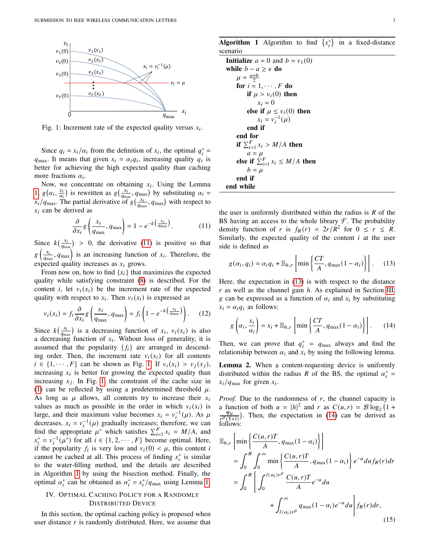<span id="page-2-1"></span>

Fig. 1: Increment rate of the expected quality versus  $x_i$ .

Since  $q_i = x_i/\alpha_i$  from the definition of  $x_i$ , the optimal  $q_i^* =$  $q_{\text{max}}$ . It means that given  $x_i = \alpha_i q_i$ , increasing quality  $q_i$  is better for achieving the high expected quality than caching more fractions  $\alpha_i$ .

Now, we concentrate on obtaining  $x_i$ . Using the Lemma [1,](#page-1-5)  $g(\alpha_i, \frac{x_i}{\alpha_i})$  is rewritten as  $g(\frac{x_i}{q_{max}}, q_{max})$  by substituting  $\alpha_i =$  $x_i/q_{\text{max}}$ . The partial derivative of  $g\left(\frac{x_i}{q_{\text{max}}}, q_{\text{max}}\right)$  with respect to  $x_i$  can be derived as

<span id="page-2-0"></span>
$$
\frac{\partial}{\partial x_i} g\left(\frac{x_i}{q_{\text{max}}}, q_{\text{max}}\right) = 1 - e^{-k\left(\frac{x_i}{q_{\text{max}}}\right)}.
$$
 (11)

Since  $k\left(\frac{x_i}{q_{\text{max}}}\right) > 0$ , the derivative [\(11\)](#page-2-0) is positive so that  $g\left(\frac{x_i}{q_{\text{max}}}, q_{\text{max}}\right)$  is an increasing function of  $x_i$ . Therefore, the expected quality increases as  $x_i$  grows.

From now on, how to find  $\{x_i\}$  that maximizes the expected quality while satisfying constraint [\(8\)](#page-1-3) is described. For the content *i*, let  $v_i(x_i)$  be the increment rate of the expected quality with respect to  $x_i$ . Then  $v_i(x_i)$  is expressed as

$$
v_i(x_i) = f_i \frac{\partial}{\partial x_i} g\left(\frac{x_i}{q_{\text{max}}}, q_{\text{max}}\right) = f_i\left(1 - e^{-k\left(\frac{x_i}{q_{\text{max}}}\right)}\right). \tag{12}
$$

Since  $k\left(\frac{x_i}{q_{\text{max}}}\right)$  is a decreasing function of  $x_i$ ,  $v_i(x_i)$  is also a decreasing function of  $x_i$ . Without loss of generality, it is assumed that the popularity  $\{f_i\}$  are arranged in descending order. Then, the increment rate  $v_i(x_i)$  for all contents  $i \in \{1, \dots, F\}$  can be shown as Fig. [1.](#page-2-1) If  $v_i(x_i) > v_j(x_i)$ , increasing  $x_i$  is better for growing the expected quality than increasing  $x_j$ . In Fig. [1,](#page-2-1) the constraint of the cache size in [\(1\)](#page-1-1) can be reflected by using a predetermined threshold  $\mu$ . As long as  $\mu$  allows, all contents try to increase their  $x_i$ values as much as possible in the order in which  $v_i(x_i)$  is large, and their maximum value becomes  $x_i = v_i^{-1}(\mu)$ . As  $\mu$ decreases,  $x_i = v_i^{-1}(\mu)$  gradually increases; therefore, we can find the appropriate  $\mu^*$  which satisfies  $\sum_{i=1}^F x_i = M/A$ , and  $x_i^* = v_i^{-1}(\mu^*)$  for all  $i \in \{1, 2, \dots, F\}$  become optimal. Here, if the popularity  $f_i$  is very low and  $v_i(0) < \mu$ , this content i cannot be cached at all. This process of finding  $x_i^*$  is similar to the water-filling method, and the details are described in Algorithm [1](#page-2-2) by using the bisection method. Finally, the optimal  $\alpha_i^*$  can be obtained as  $\alpha_i^* = x_i^* / q_{\text{max}}$  using Lemma [1.](#page-1-5)

# IV. OPTIMAL CACHING POLICY FOR A RANDOMLY DISTRIBUTED DEVICE

In this section, the optimal caching policy is proposed when user distance  $r$  is randomly distributed. Here, we assume that

<span id="page-2-2"></span>**Algorithm 1** Algorithm to find  $\{x_i^*\}$  in a fixed-distance scenario

| <b>Initialize</b> $a = 0$ and $b = v_1(0)$ |
|--------------------------------------------|
| while $b - a \geq \epsilon$ do             |
| $\mu = \frac{a+b}{2}$                      |
| for $i = 1, \dots, F$ do                   |
| if $\mu > v_i(0)$ then                     |
| $x_i = 0$                                  |
| else if $\mu \le v_i(0)$ then              |
| $x_i = v_i^{-1}(\mu)$                      |
| end if                                     |
| end for                                    |
| if $\sum_{i=1}^{F} x_i > M/A$ then         |
| $a = \mu$                                  |
| else if $\sum_{i=1}^{F} x_i \leq M/A$ then |
| $b = \mu$                                  |
| end if                                     |
| end while                                  |

the user is uniformly distributed within the radius is  $R$  of the BS having an access to the whole library  $\mathcal F$ . The probability density function of r is  $f_R(r) = 2r/R^2$  for  $0 \le r \le R$ . Similarly, the expected quality of the content  $i$  at the user side is defined as

<span id="page-2-3"></span>
$$
g(\alpha_i, q_i) = \alpha_i q_i + \mathbb{E}_{h,r} \left[ \min \left\{ \frac{CT}{A}, q_{\max}(1 - \alpha_i) \right\} \right].
$$
 (13)

Here, the expectation in [\(13\)](#page-2-3) is with respect to the distance  $r$  as well as the channel gain  $h$ . As explained in Section [III,](#page-1-6) g can be expressed as a function of  $\alpha_i$  and  $x_i$  by substituting  $x_i = \alpha_i q_i$  as follows:

<span id="page-2-4"></span>
$$
g\left(\alpha_i, \frac{x_i}{\alpha_i}\right) = x_i + \mathbb{E}_{h,r} \left[ \min\left\{\frac{CT}{A}, q_{\max}(1-\alpha_i)\right\} \right].
$$
 (14)

Then, we can prove that  $q_i^* = q_{\text{max}}$  always and find the relationship between  $\alpha_i$  and  $x_i$  by using the following lemma.

<span id="page-2-5"></span>Lemma 2. When a content-requesting device is uniformly distributed within the radius R of the BS, the optimal  $\alpha_i^* =$  $x_i/q_{\text{max}}$  for given  $x_i$ .

*Proof.* Due to the randomness of  $r$ , the channel capacity is a function of both  $u = |h|^2$  and r as  $C(u,r) = \mathcal{B} \log_2(1 +$  $\frac{\Psi u}{r^{\beta}(Y+1)}$ ). Then, the expectation in [\(14\)](#page-2-4) can be derived as follows:

$$
\mathbb{E}_{h,r} \left[ \min \left\{ \frac{C(u,r)T}{A}, q_{\max}(1-\alpha_i) \right\} \right]
$$
  
\n
$$
= \int_0^R \int_0^\infty \min \left\{ \frac{C(u,r)T}{A}, q_{\max}(1-\alpha_i) \right\} e^{-u} du f_R(r) dr
$$
  
\n
$$
= \int_0^R \left[ \int_0^{l(\alpha_i)r^\beta} \frac{C(u,r)T}{A} e^{-u} du + \int_{l(\alpha_i)r^\beta} q_{\max}(1-\alpha_i) e^{-u} du \right] f_R(r) dr,
$$
\n(15)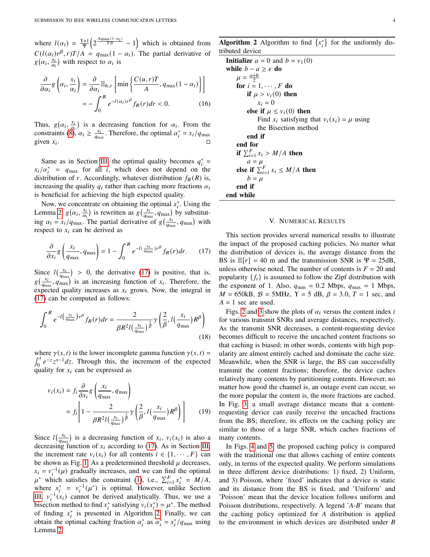where  $l(\alpha_i) = \frac{\gamma + 1}{\Psi} \left( 2^{\frac{Aq_{\text{max}}(1-\alpha_i)}{T} - 1} \right)$  which is obtained from  $C(l(\alpha_i)r^{\beta}, r)T/A = q_{\text{max}}(1 - \alpha_i)$ . The partial derivative of  $g(\alpha_i, \frac{x_i}{\alpha_i})$  with respect to  $\alpha_i$  is

$$
\frac{\partial}{\partial \alpha_i} g\left(\alpha_i, \frac{x_i}{\alpha_i}\right) = \frac{\partial}{\partial \alpha_i} \mathbb{E}_{h,r} \left[ \min \left\{ \frac{C(u, r)T}{A}, q_{\text{max}} (1 - \alpha_i) \right\} \right]
$$

$$
= -\int_0^R e^{-l(\alpha_i)r^\beta} f_R(r) dr < 0. \tag{16}
$$

Thus,  $g(\alpha_i, \frac{x_i}{\alpha_i})$  is a decreasing function for  $\alpha_i$ . From the constraints [\(8\)](#page-1-3),  $\alpha_i \ge \frac{x_i}{q_{\text{max}}}$ . Therefore, the optimal  $\alpha_i^* = x_i/q_{\text{max}}$ given  $x_i$ .  $\mathcal{L}$  . The set of  $\mathcal{L}$  is the set of  $\Box$ 

Same as in Section [III,](#page-1-6) the optimal quality becomes  $q_i^* =$  $x_i/\alpha_i^*$  =  $q_{\text{max}}$  for all i, which does not depend on the distribution of r. Accordingly, whatever distribution  $f_R(R)$  is, increasing the quality  $q_i$  rather than caching more fractions  $\alpha_i$ is beneficial for achieving the high expected quality.

Now, we concentrate on obtaining the optimal  $x_i^*$ . Using the Lemma [2,](#page-2-5)  $g(\alpha_i, \frac{x_i}{\alpha_i})$  is rewritten as  $g(\frac{x_i}{q_{\text{max}}}, q_{\text{max}})$  by substituting  $\alpha_i = x_i/q_{\text{max}}$ . The partial derivative of  $g\left(\frac{x_i}{q_{\text{max}}}, q_{\text{max}}\right)$  with respect to  $x_i$  can be derived as

<span id="page-3-0"></span>
$$
\frac{\partial}{\partial x_i} g\left(\frac{x_i}{q_{\text{max}}}, q_{\text{max}}\right) = 1 - \int_0^R e^{-l(\frac{x_i}{q_{\text{max}}})r^\beta} f_R(r) dr. \tag{17}
$$

Since  $l(\frac{x_i}{q_{\text{max}}})$  > 0, the derivative [\(17\)](#page-3-0) is positive, that is,  $g\left(\frac{x_i}{q_{\text{max}}}, q_{\text{max}}\right)'$  is an increasing function of  $x_i$ . Therefore, the expected quality increases as  $x_i$  grows. Now, the integral in [\(17\)](#page-3-0) can be computed as follows:

$$
\int_0^R e^{-l\left(\frac{x_i}{q_{\text{max}}}\right)r^\beta} f_R(r)dr = \frac{2}{\beta R^2 l\left(\frac{x_i}{q_{\text{max}}}\right)^{\frac{2}{\beta}}} \gamma\left(\frac{2}{\beta}, l\left(\frac{x_i}{q_{\text{max}}}\right)R^\beta\right)
$$
(18)

where  $\gamma(s, t)$  is the lower incomplete gamma function  $\gamma(s, t)$  =  $\int_0^t e^{-z} z^{s-1} dz$ . Through this, the increment of the expected quality for  $x_i$  can be expressed as

$$
v_i(x_i) = f_i \frac{\partial}{\partial x_i} g\left(\frac{x_i}{q_{\text{max}}}, q_{\text{max}}\right)
$$
  
= 
$$
f_i \left[1 - \frac{2}{\beta R^2 l\left(\frac{x_i}{q_{\text{max}}}\right)^{\frac{2}{\beta}}} \gamma \left(\frac{2}{\beta}, l\left(\frac{x_i}{q_{\text{max}}}\right) R^{\beta}\right)\right]
$$
(19)

Since  $l(\frac{x_i}{q_{\text{max}}})$  is a decreasing function of  $x_i$ ,  $v_i(x_i)$  is also a decreasing function of  $x_i$  according to [\(17\)](#page-3-0). As in Section [III,](#page-1-6) the increment rate  $v_i(x_i)$  for all contents  $i \in \{1, \dots, F\}$  can be shown as Fig. [1.](#page-2-1) As a predetermined threshold  $\mu$  decreases,  $x_i = v_i^{-1}(\mu)$  gradually increases, and we can find the optimal  $\mu^*$  which satisfies the constraint [\(1\)](#page-1-1), i.e.,  $\sum_{i=1}^F x_i^* = M/A$ , where  $x_i^* = v_i^{-1}(\mu^*)$  is optimal. However, unlike Section [III,](#page-1-6)  $v_i^{-1}(x_i)$  cannot be derived analytically. Thus, we use a bisection method to find  $x_i^*$  satisfying  $v_i(x_i^*) = \mu^*$ . The method of finding  $x_i^*$  is presented in Algorithm [2.](#page-3-1) Finally, we can obtain the optimal caching fraction  $\alpha_i^*$  as  $\alpha_i^* = x_i^* / q_{\text{max}}$  using Lemma [2.](#page-2-5)

<span id="page-3-1"></span>**Algorithm 2** Algorithm to find  $\{x_i^*\}$  for the uniformly distributed device

| <b>Initialize</b> $a = 0$ and $b = v_1(0)$        |
|---------------------------------------------------|
| while $b - a \geq \epsilon$ do                    |
| $\mu = \frac{a+b}{2}$                             |
| for $i = 1, \dots, F$ do                          |
| if $\mu > v_i(0)$ then                            |
| $x_i = 0$                                         |
| else if $\mu \leq v_i(0)$ then                    |
| Find $x_i$ satisfying that $v_i(x_i) = \mu$ using |
| the Bisection method                              |
| end if                                            |
| end for                                           |
| if $\sum_{i=1}^{F} x_i > M/A$ then                |
| $a = \mu$                                         |
| else if $\sum_{i=1}^{F} x_i \leq M/A$ then        |
| $b = \mu$                                         |
| end if                                            |
| end while                                         |

# V. NUMERICAL RESULTS

This section provides several numerical results to illustrate the impact of the proposed caching policies. No matter what the distribution of devices is, the average distance from the BS is  $\mathbb{E}[r] = 40$  m and the transmission SNR is  $\Psi = 25dB$ , unless otherwise noted. The number of contents is  $F = 20$  and popularity  $\{f_i\}$  is assumed to follow the Zipf distribution with the exponent of 1. Also,  $q_{\text{min}} = 0.2$  Mbps,  $q_{\text{max}} = 1$  Mbps,  $M = 650kB$ ,  $B = 5MHz$ ,  $Y = 5 dB$ ,  $\beta = 3.0$ ,  $T = 1$  sec, and  $A = 1$  sec are used.

Figs. [2](#page-4-11) and [3](#page-4-12) show the plots of  $\alpha_i$  versus the content index i for various transmit SNRs and average distances, respectively. As the transmit SNR decreases, a content-requesting device becomes difficult to receive the uncached content fractions so that caching is biased; in other words, contents with high popularity are almost entirely cached and dominate the cache size. Meanwhile, when the SNR is large, the BS can successfully transmit the content fractions; therefore, the device caches relatively many contents by partitioning contents. However, no matter how good the channel is, an outage event can occur, so the more popular the content is, the more fractions are cached. In Fig. [3,](#page-4-12) a small average distance means that a contentrequesting device can easily receive the uncached fractions from the BS; therefore, its effects on the caching policy are similar to those of a large SNR, which caches fractions of many contents.

In Figs. [4](#page-4-13) and [5,](#page-4-14) the proposed caching policy is compared with the traditional one that allows caching of entire contents only, in terms of the expected quality. We perform simulations in three different device distributions: 1) fixed, 2) Uniform, and 3) Poisson, where 'fixed' indicates that a device is static and its distance from the BS is fixed, and 'Uniform' and 'Poisson' mean that the device location follows uniform and Poisson distributions, respectively. A legend '*A*-*B*' means that the caching policy optimized for *A* distribution is applied to the environment in which devices are distributed under *B*